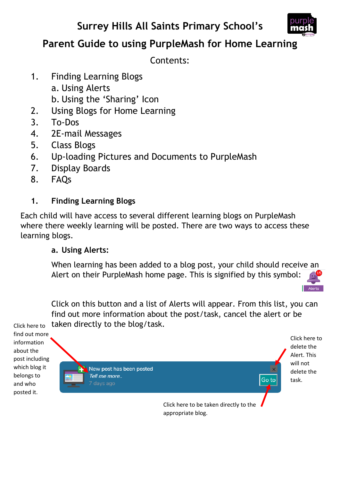# **Surrey Hills All Saints Primary School's**



# **Parent Guide to using PurpleMash for Home Learning**

Contents:

- 1. Finding Learning Blogs
	- a. Using Alerts
	- b. Using the 'Sharing' Icon
- 2. Using Blogs for Home Learning
- 3. To-Dos
- 4. 2E-mail Messages
- 5. Class Blogs
- 6. Up-loading Pictures and Documents to PurpleMash
- 7. Display Boards
- 8. FAQs

# **1. Finding Learning Blogs**

Each child will have access to several different learning blogs on PurpleMash where there weekly learning will be posted. There are two ways to access these learning blogs.

#### **a. Using Alerts:**

When learning has been added to a blog post, your child should receive an Alert on their PurpleMash home page. This is signified by this symbol:



Click on this button and a list of Alerts will appear. From this list, you can find out more information about the post/task, cancel the alert or be Click here to taken directly to the blog/task.

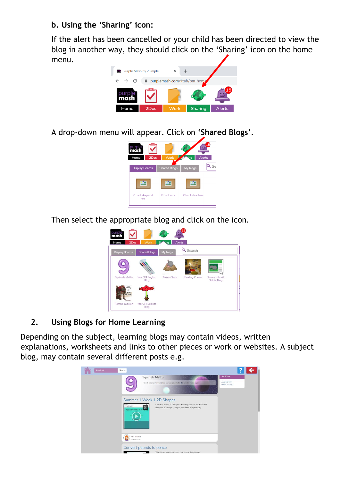## **b. Using the 'Sharing' icon:**

If the alert has been cancelled or your child has been directed to view the blog in another way, they should click on the 'Sharing' icon on the home menu.



A drop-down menu will appear. Click on '**Shared Blogs'**.



Then select the appropriate blog and click on the icon.



## **2. Using Blogs for Home Learning**

Depending on the subject, learning blogs may contain videos, written explanations, worksheets and links to other pieces or work or websites. A subject blog, may contain several different posts e.g.

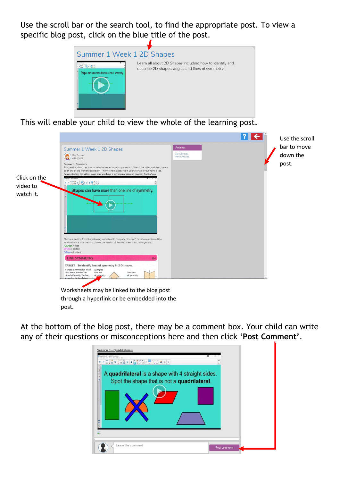Use the scroll bar or the search tool, to find the appropriate post. To view a specific blog post, click on the blue title of the post.



This will enable your child to view the whole of the learning post.



At the bottom of the blog post, there may be a comment box. Your child can write any of their questions or misconceptions here and then click '**Post Comment'**.

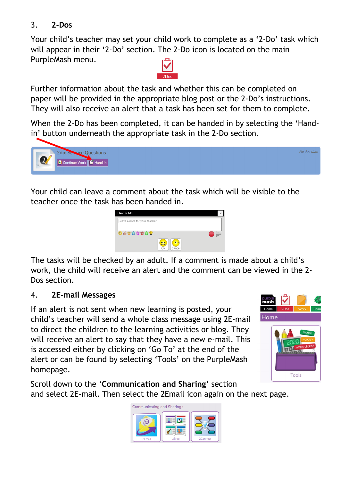## 3. **2-Dos**

Your child's teacher may set your child work to complete as a '2-Do' task which will appear in their '2-Do' section. The 2-Do icon is located on the main PurpleMash menu.



Further information about the task and whether this can be completed on paper will be provided in the appropriate blog post or the 2-Do's instructions. They will also receive an alert that a task has been set for them to complete.

When the 2-Do has been completed, it can be handed in by selecting the 'Handin' button underneath the appropriate task in the 2-Do section.



Your child can leave a comment about the task which will be visible to the teacher once the task has been handed in.



The tasks will be checked by an adult. If a comment is made about a child's work, the child will receive an alert and the comment can be viewed in the 2- Dos section.

#### 4. **2E-mail Messages**

If an alert is not sent when new learning is posted, your child's teacher will send a whole class message using 2E-mail to direct the children to the learning activities or blog. They will receive an alert to say that they have a new e-mail. This is accessed either by clicking on 'Go To' at the end of the alert or can be found by selecting 'Tools' on the PurpleMash homepage.



Scroll down to the '**Communication and Sharing'** section and select 2E-mail. Then select the 2Email icon again on the next page.

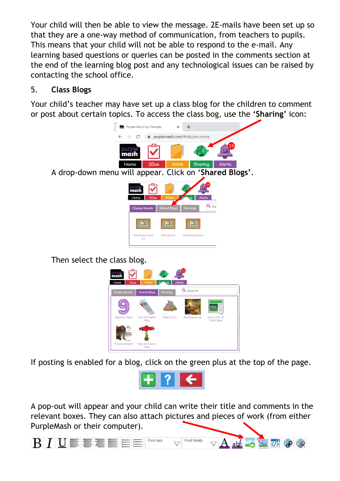Your child will then be able to view the message. 2E-mails have been set up so that they are a one-way method of communication, from teachers to pupils. This means that your child will not be able to respond to the e-mail. Any learning based questions or queries can be posted in the comments section at the end of the learning blog post and any technological issues can be raised by contacting the school office.

### 5. **Class Blogs**

Your child's teacher may have set up a class blog for the children to comment or post about certain topics. To access the class bog, use the **'Sharing'** icon:



Then select the class blog.



If posting is enabled for a blog, click on the green plus at the top of the page.



A pop-out will appear and your child can write their title and comments in the relevant boxes. They can also attach pictures and pieces of work (from either PurpleMash or their computer).

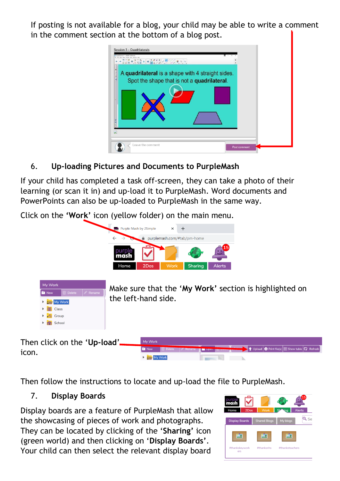If posting is not available for a blog, your child may be able to write a comment in the comment section at the bottom of a blog post.

| Session 3 - Quadrilaterals<br>Quadriatoruh, 1 - SMART Nortelissok<br>least furnal flats, total-see |              |
|----------------------------------------------------------------------------------------------------|--------------|
| A quadrilateral is a shape with 4 straight sides.<br>Spot the shape that is not a quadrilateral.   |              |
|                                                                                                    |              |
|                                                                                                    |              |
| Leave the comment                                                                                  | Post comment |

6. **Up-loading Pictures and Documents to PurpleMash**

If your child has completed a task off-screen, they can take a photo of their learning (or scan it in) and up-load it to PurpleMash. Word documents and PowerPoints can also be up-loaded to PurpleMash in the same way.

Click on the **'Work'** icon (yellow folder) on the main menu.



**The Common School** 

Then follow the instructions to locate and up-load the file to PurpleMash.

My Work

#### 7. **Display Boards**

Display boards are a feature of PurpleMash that allow the showcasing of pieces of work and photographs. They can be located by clicking of the '**Sharing'** icon (green world) and then clicking on '**Display Boards'**. Your child can then select the relevant display board